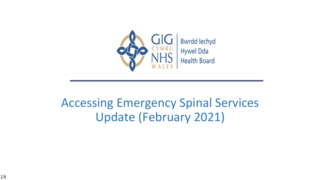

### Accessing Emergency Spinal Services Update (February 2021)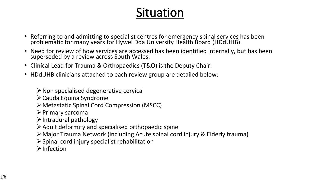### **Situation**

- Referring to and admitting to specialist centres for emergency spinal services has been problematic for many years for Hywel Dda University Health Board (HDdUHB).
- Need for review of how services are accessed has been identified internally, but has been superseded by a review across South Wales.
- Clinical Lead for Trauma & Orthopaedics (T&O) is the Deputy Chair.
- HDdUHB clinicians attached to each review group are detailed below:

 $\triangleright$  Non specialised degenerative cervical

 $\triangleright$  Cauda Equina Syndrome

ØMetastatic Spinal Cord Compression (MSCC)

 $\triangleright$  Primary sarcoma

 $\triangleright$  Intradural pathology

- $\triangleright$  Adult deformity and specialised orthopaedic spine
- ØMajor Trauma Network (including Acute spinal cord injury & Elderly trauma)
- $\triangleright$  Spinal cord injury specialist rehabilitation

 $\triangleright$  Infection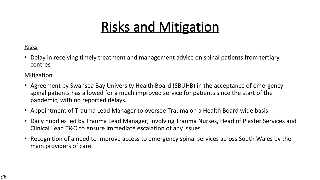## **Risks and Mitigation**

#### Risks

• Delay in receiving timely treatment and management advice on spinal patients from tertiary centres

#### **Mitigation**

- Agreement by Swansea Bay University Health Board (SBUHB) in the acceptance of emergency spinal patients has allowed for a much improved service for patients since the start of the pandemic, with no reported delays.
- Appointment of Trauma Lead Manager to oversee Trauma on a Health Board wide basis.
- Daily huddles led by Trauma Lead Manager, involving Trauma Nurses, Head of Plaster Services and Clinical Lead T&O to ensure immediate escalation of any issues.
- Recognition of a need to improve access to emergency spinal services across South Wales by the main providers of care.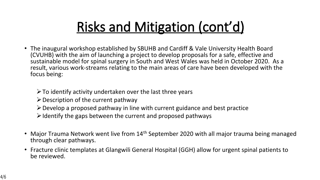# **Risks and Mitigation (cont'd)**

• The inaugural workshop established by SBUHB and Cardiff & Vale University Health Board (CVUHB) with the aim of launching a project to develop proposals for a safe, effective and sustainable model for spinal surgery in South and West Wales was held in October 2020. As a result, various work-streams relating to the main areas of care have been developed with the focus being:

 $\triangleright$  To identify activity undertaken over the last three years

- $\triangleright$  Description of the current pathway
- $\triangleright$  Develop a proposed pathway in line with current guidance and best practice
- $\triangleright$  Identify the gaps between the current and proposed pathways
- Major Trauma Network went live from 14<sup>th</sup> September 2020 with all major trauma being managed through clear pathways.
- Fracture clinic templates at Glangwili General Hospital (GGH) allow for urgent spinal patients to be reviewed.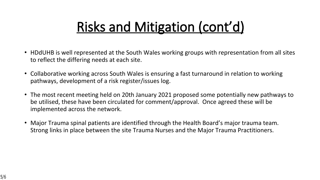## **Risks and Mitigation (cont'd)**

- HDdUHB is well represented at the South Wales working groups with representation from all sites to reflect the differing needs at each site.
- Collaborative working across South Wales is ensuring a fast turnaround in relation to working pathways, development of a risk register/issues log.
- The most recent meeting held on 20th January 2021 proposed some potentially new pathways to be utilised, these have been circulated for comment/approval. Once agreed these will be implemented across the network.
- Major Trauma spinal patients are identified through the Health Board's major trauma team. Strong links in place between the site Trauma Nurses and the Major Trauma Practitioners.